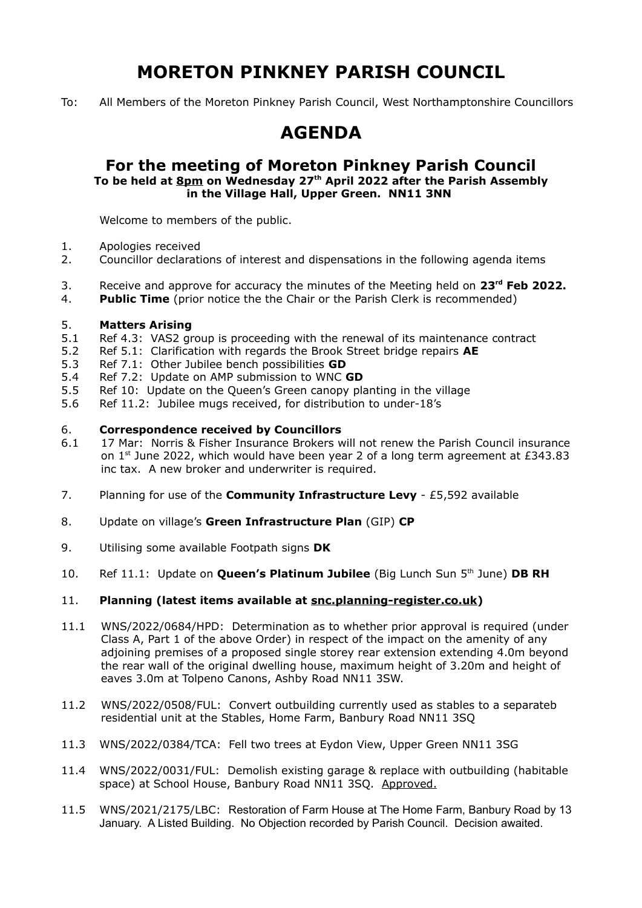# **MORETON PINKNEY PARISH COUNCIL**

To: All Members of the Moreton Pinkney Parish Council, West Northamptonshire Councillors

## **AGENDA**

### **For the meeting of Moreton Pinkney Parish Council To be held at 8pm on Wednesday 27th April 2022 after the Parish Assembly in the Village Hall, Upper Green. NN11 3NN**

Welcome to members of the public.

- 1. Apologies received
- 2. Councillor declarations of interest and dispensations in the following agenda items
- 3. Receive and approve for accuracy the minutes of the Meeting held on **23rd Feb 2022.**
- 4. **Public Time** (prior notice the the Chair or the Parish Clerk is recommended)

#### 5. **Matters Arising**

- 5.1 Ref 4.3: VAS2 group is proceeding with the renewal of its maintenance contract
- 5.2 Ref 5.1: Clarification with regards the Brook Street bridge repairs **AE**
- 5.3 Ref 7.1: Other Jubilee bench possibilities **GD**
- 5.4 Ref 7.2: Update on AMP submission to WNC **GD**
- 5.5 Ref 10: Update on the Queen's Green canopy planting in the village
- 5.6 Ref 11.2: Jubilee mugs received, for distribution to under-18's

#### 6. **Correspondence received by Councillors**

- 6.1 17 Mar: Norris & Fisher Insurance Brokers will not renew the Parish Council insurance on  $1<sup>st</sup>$  June 2022, which would have been year 2 of a long term agreement at £343.83 inc tax. A new broker and underwriter is required.
- 7. Planning for use of the **Community Infrastructure Levy** £5,592 available
- 8. Update on village's **Green Infrastructure Plan** (GIP) **CP**
- 9. Utilising some available Footpath signs **DK**
- 10. Ref 11.1: Update on **Queen's Platinum Jubilee** (Big Lunch Sun 5<sup>th</sup> June) DB RH

#### 11. **Planning (latest items available at snc.planning-register.co.uk)**

- 11.1 WNS/2022/0684/HPD: Determination as to whether prior approval is required (under Class A, Part 1 of the above Order) in respect of the impact on the amenity of any adjoining premises of a proposed single storey rear extension extending 4.0m beyond the rear wall of the original dwelling house, maximum height of 3.20m and height of eaves 3.0m at Tolpeno Canons, Ashby Road NN11 3SW.
- 11.2 WNS/2022/0508/FUL: Convert outbuilding currently used as stables to a separateb residential unit at the Stables, Home Farm, Banbury Road NN11 3SQ
- 11.3 WNS/2022/0384/TCA: Fell two trees at Eydon View, Upper Green NN11 3SG
- 11.4 WNS/2022/0031/FUL: Demolish existing garage & replace with outbuilding (habitable space) at School House, Banbury Road NN11 3SQ. Approved.
- 11.5 WNS/2021/2175/LBC: Restoration of Farm House at The Home Farm, Banbury Road by 13 January. A Listed Building. No Objection recorded by Parish Council. Decision awaited.